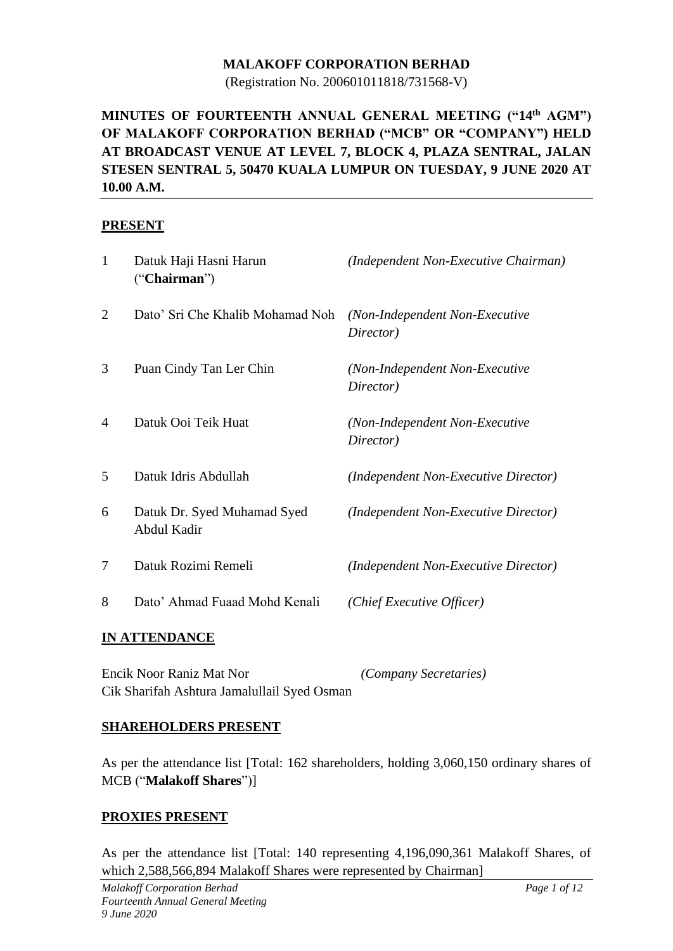#### **MALAKOFF CORPORATION BERHAD**

(Registration No. 200601011818/731568-V)

### **MINUTES OF FOURTEENTH ANNUAL GENERAL MEETING ("14 th AGM") OF MALAKOFF CORPORATION BERHAD ("MCB" OR "COMPANY") HELD AT BROADCAST VENUE AT LEVEL 7, BLOCK 4, PLAZA SENTRAL, JALAN STESEN SENTRAL 5, 50470 KUALA LUMPUR ON TUESDAY, 9 JUNE 2020 AT 10.00 A.M.**

#### **PRESENT**

| $\mathbf{1}$   | Datuk Haji Hasni Harun<br>("Chairman")     | (Independent Non-Executive Chairman)        |
|----------------|--------------------------------------------|---------------------------------------------|
| $\overline{2}$ | Dato' Sri Che Khalib Mohamad Noh           | (Non-Independent Non-Executive<br>Director) |
| 3              | Puan Cindy Tan Ler Chin                    | (Non-Independent Non-Executive<br>Director) |
| 4              | Datuk Ooi Teik Huat                        | (Non-Independent Non-Executive<br>Director) |
| 5              | Datuk Idris Abdullah                       | (Independent Non-Executive Director)        |
| 6              | Datuk Dr. Syed Muhamad Syed<br>Abdul Kadir | (Independent Non-Executive Director)        |
| 7              | Datuk Rozimi Remeli                        | (Independent Non-Executive Director)        |
| 8              | Dato' Ahmad Fuaad Mohd Kenali              | (Chief Executive Officer)                   |
|                |                                            |                                             |

#### **IN ATTENDANCE**

Encik Noor Raniz Mat Nor *(Company Secretaries)* Cik Sharifah Ashtura Jamalullail Syed Osman

#### **SHAREHOLDERS PRESENT**

As per the attendance list [Total: 162 shareholders, holding 3,060,150 ordinary shares of MCB ("**Malakoff Shares**")]

#### **PROXIES PRESENT**

As per the attendance list [Total: 140 representing 4,196,090,361 Malakoff Shares, of which 2,588,566,894 Malakoff Shares were represented by Chairman]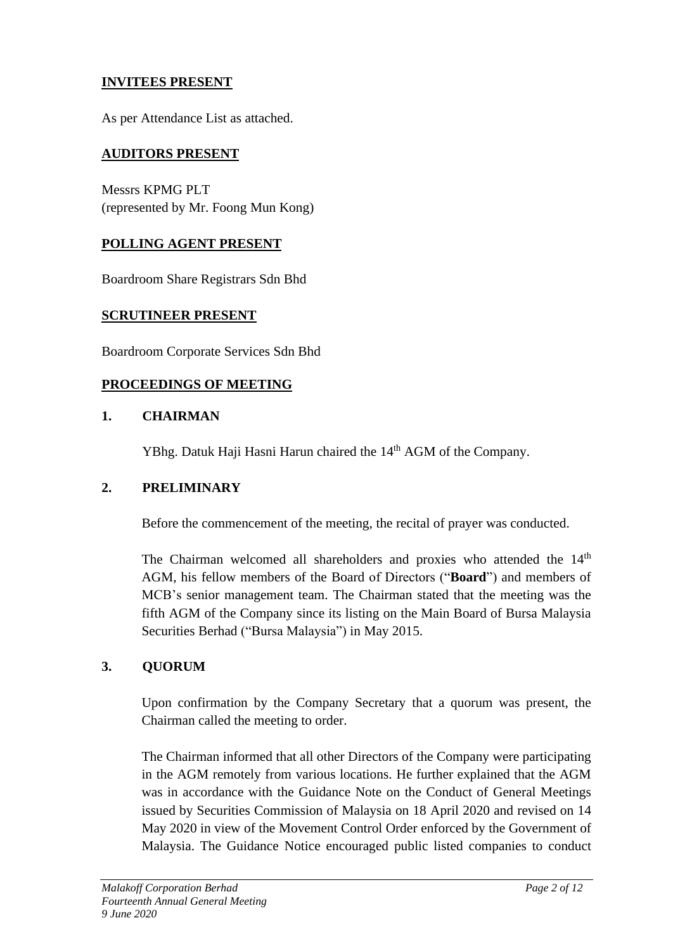### **INVITEES PRESENT**

As per Attendance List as attached.

#### **AUDITORS PRESENT**

Messrs KPMG PLT (represented by Mr. Foong Mun Kong)

#### **POLLING AGENT PRESENT**

Boardroom Share Registrars Sdn Bhd

#### **SCRUTINEER PRESENT**

Boardroom Corporate Services Sdn Bhd

#### **PROCEEDINGS OF MEETING**

#### **1. CHAIRMAN**

YBhg. Datuk Haji Hasni Harun chaired the 14<sup>th</sup> AGM of the Company.

#### **2. PRELIMINARY**

Before the commencement of the meeting, the recital of prayer was conducted.

The Chairman welcomed all shareholders and proxies who attended the 14<sup>th</sup> AGM, his fellow members of the Board of Directors ("**Board**") and members of MCB's senior management team. The Chairman stated that the meeting was the fifth AGM of the Company since its listing on the Main Board of Bursa Malaysia Securities Berhad ("Bursa Malaysia") in May 2015.

#### **3. QUORUM**

Upon confirmation by the Company Secretary that a quorum was present, the Chairman called the meeting to order.

The Chairman informed that all other Directors of the Company were participating in the AGM remotely from various locations. He further explained that the AGM was in accordance with the Guidance Note on the Conduct of General Meetings issued by Securities Commission of Malaysia on 18 April 2020 and revised on 14 May 2020 in view of the Movement Control Order enforced by the Government of Malaysia. The Guidance Notice encouraged public listed companies to conduct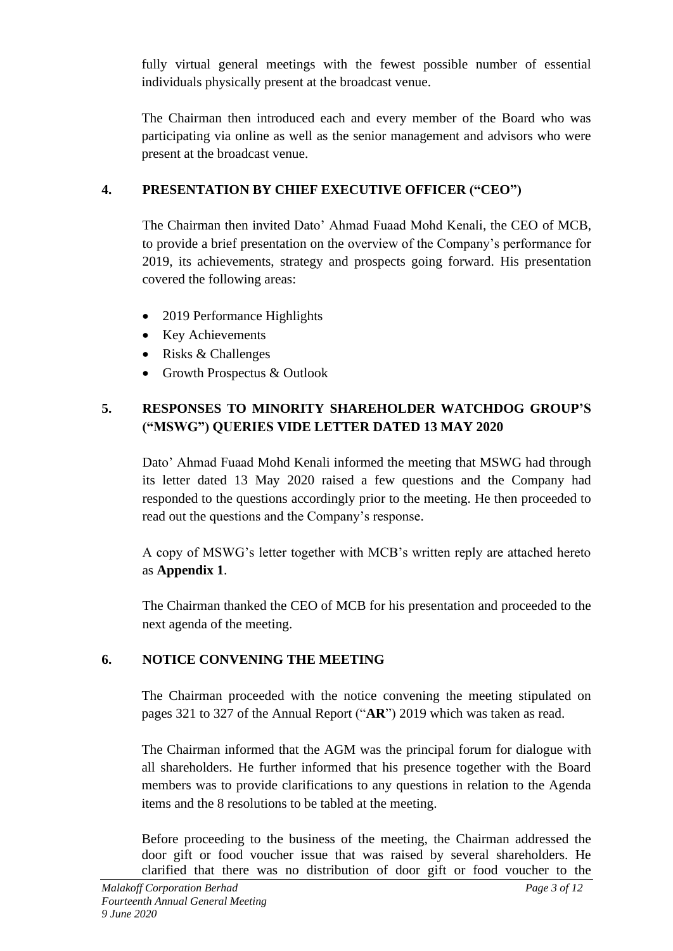fully virtual general meetings with the fewest possible number of essential individuals physically present at the broadcast venue.

The Chairman then introduced each and every member of the Board who was participating via online as well as the senior management and advisors who were present at the broadcast venue.

# **4. PRESENTATION BY CHIEF EXECUTIVE OFFICER ("CEO")**

The Chairman then invited Dato' Ahmad Fuaad Mohd Kenali, the CEO of MCB, to provide a brief presentation on the overview of the Company's performance for 2019, its achievements, strategy and prospects going forward. His presentation covered the following areas:

- 2019 Performance Highlights
- Key Achievements
- Risks & Challenges
- Growth Prospectus & Outlook

# **5. RESPONSES TO MINORITY SHAREHOLDER WATCHDOG GROUP'S ("MSWG") QUERIES VIDE LETTER DATED 13 MAY 2020**

Dato' Ahmad Fuaad Mohd Kenali informed the meeting that MSWG had through its letter dated 13 May 2020 raised a few questions and the Company had responded to the questions accordingly prior to the meeting. He then proceeded to read out the questions and the Company's response.

A copy of MSWG's letter together with MCB's written reply are attached hereto as **Appendix 1**.

The Chairman thanked the CEO of MCB for his presentation and proceeded to the next agenda of the meeting.

# **6. NOTICE CONVENING THE MEETING**

The Chairman proceeded with the notice convening the meeting stipulated on pages 321 to 327 of the Annual Report ("**AR**") 2019 which was taken as read.

The Chairman informed that the AGM was the principal forum for dialogue with all shareholders. He further informed that his presence together with the Board members was to provide clarifications to any questions in relation to the Agenda items and the 8 resolutions to be tabled at the meeting.

Before proceeding to the business of the meeting, the Chairman addressed the door gift or food voucher issue that was raised by several shareholders. He clarified that there was no distribution of door gift or food voucher to the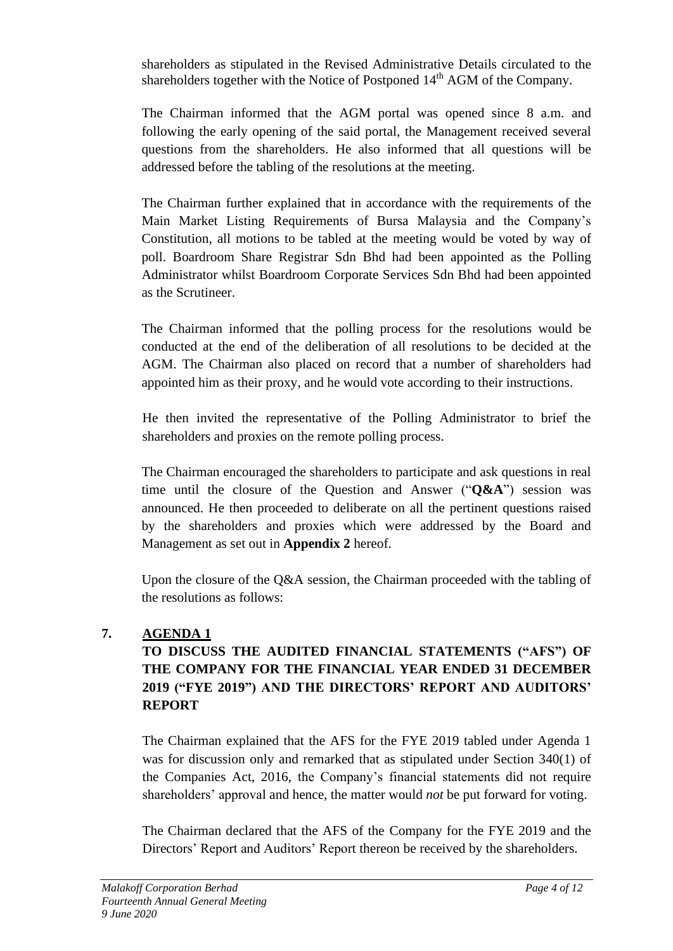shareholders as stipulated in the Revised Administrative Details circulated to the shareholders together with the Notice of Postponed 14<sup>th</sup> AGM of the Company.

The Chairman informed that the AGM portal was opened since 8 a.m. and following the early opening of the said portal, the Management received several questions from the shareholders. He also informed that all questions will be addressed before the tabling of the resolutions at the meeting.

The Chairman further explained that in accordance with the requirements of the Main Market Listing Requirements of Bursa Malaysia and the Company's Constitution, all motions to be tabled at the meeting would be voted by way of poll. Boardroom Share Registrar Sdn Bhd had been appointed as the Polling Administrator whilst Boardroom Corporate Services Sdn Bhd had been appointed as the Scrutineer.

The Chairman informed that the polling process for the resolutions would be conducted at the end of the deliberation of all resolutions to be decided at the AGM. The Chairman also placed on record that a number of shareholders had appointed him as their proxy, and he would vote according to their instructions.

He then invited the representative of the Polling Administrator to brief the shareholders and proxies on the remote polling process.

The Chairman encouraged the shareholders to participate and ask questions in real time until the closure of the Question and Answer ("**Q&A**") session was announced. He then proceeded to deliberate on all the pertinent questions raised by the shareholders and proxies which were addressed by the Board and Management as set out in **Appendix 2** hereof.

Upon the closure of the Q&A session, the Chairman proceeded with the tabling of the resolutions as follows:

## **7. AGENDA 1**

# **TO DISCUSS THE AUDITED FINANCIAL STATEMENTS ("AFS") OF THE COMPANY FOR THE FINANCIAL YEAR ENDED 31 DECEMBER 2019 ("FYE 2019") AND THE DIRECTORS' REPORT AND AUDITORS' REPORT**

The Chairman explained that the AFS for the FYE 2019 tabled under Agenda 1 was for discussion only and remarked that as stipulated under Section 340(1) of the Companies Act, 2016, the Company's financial statements did not require shareholders' approval and hence, the matter would *not* be put forward for voting.

The Chairman declared that the AFS of the Company for the FYE 2019 and the Directors' Report and Auditors' Report thereon be received by the shareholders.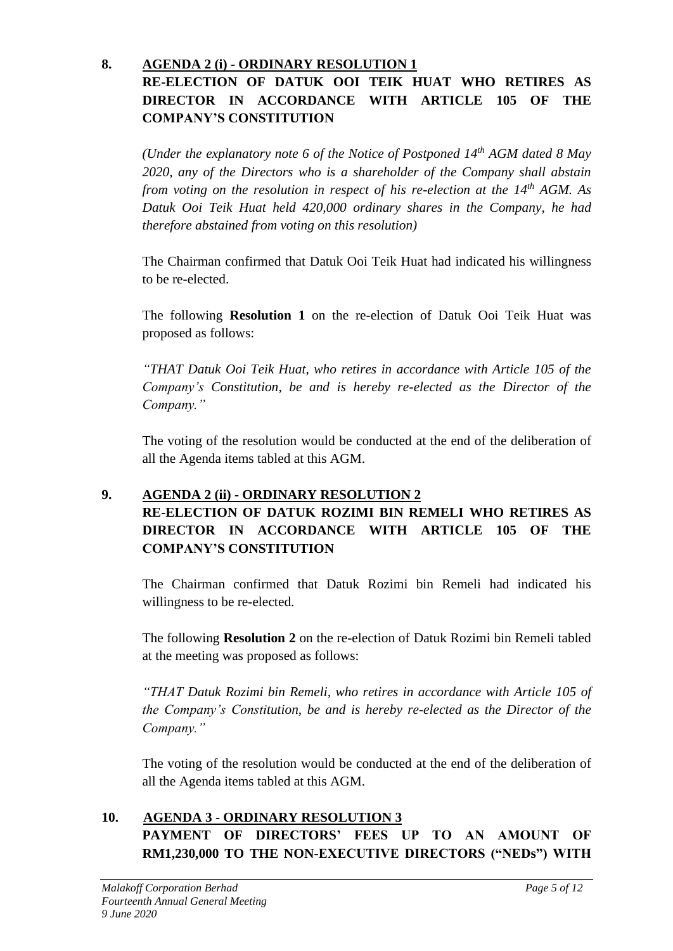## **8. AGENDA 2 (i) - ORDINARY RESOLUTION 1 RE-ELECTION OF DATUK OOI TEIK HUAT WHO RETIRES AS DIRECTOR IN ACCORDANCE WITH ARTICLE 105 OF THE COMPANY'S CONSTITUTION**

*(Under the explanatory note 6 of the Notice of Postponed 14th AGM dated 8 May 2020, any of the Directors who is a shareholder of the Company shall abstain from voting on the resolution in respect of his re-election at the*  $14^{th}$  *AGM. As Datuk Ooi Teik Huat held 420,000 ordinary shares in the Company, he had therefore abstained from voting on this resolution)*

The Chairman confirmed that Datuk Ooi Teik Huat had indicated his willingness to be re-elected.

The following **Resolution 1** on the re-election of Datuk Ooi Teik Huat was proposed as follows:

*"THAT Datuk Ooi Teik Huat, who retires in accordance with Article 105 of the Company's Constitution, be and is hereby re-elected as the Director of the Company."* 

The voting of the resolution would be conducted at the end of the deliberation of all the Agenda items tabled at this AGM.

## **9. AGENDA 2 (ii) - ORDINARY RESOLUTION 2 RE-ELECTION OF DATUK ROZIMI BIN REMELI WHO RETIRES AS DIRECTOR IN ACCORDANCE WITH ARTICLE 105 OF THE COMPANY'S CONSTITUTION**

The Chairman confirmed that Datuk Rozimi bin Remeli had indicated his willingness to be re-elected.

The following **Resolution 2** on the re-election of Datuk Rozimi bin Remeli tabled at the meeting was proposed as follows:

*"THAT Datuk Rozimi bin Remeli, who retires in accordance with Article 105 of the Company's Constitution, be and is hereby re-elected as the Director of the Company."* 

The voting of the resolution would be conducted at the end of the deliberation of all the Agenda items tabled at this AGM.

## **10. AGENDA 3 - ORDINARY RESOLUTION 3 PAYMENT OF DIRECTORS' FEES UP TO AN AMOUNT OF RM1,230,000 TO THE NON-EXECUTIVE DIRECTORS ("NEDs") WITH**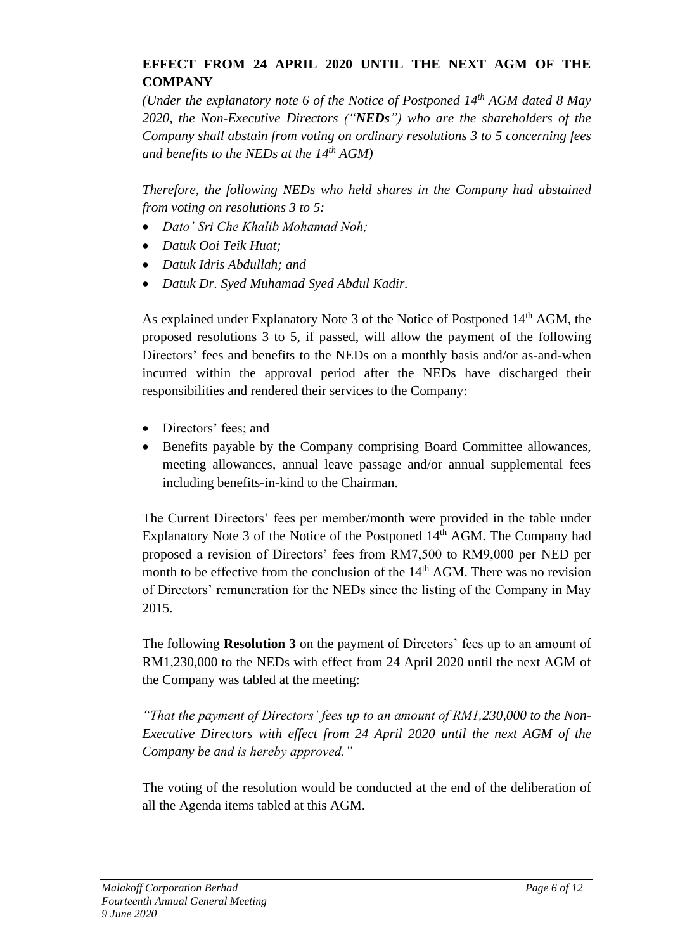## **EFFECT FROM 24 APRIL 2020 UNTIL THE NEXT AGM OF THE COMPANY**

*(Under the explanatory note 6 of the Notice of Postponed 14th AGM dated 8 May 2020, the Non-Executive Directors ("NEDs") who are the shareholders of the Company shall abstain from voting on ordinary resolutions 3 to 5 concerning fees and benefits to the NEDs at the 14 th AGM)*

*Therefore, the following NEDs who held shares in the Company had abstained from voting on resolutions 3 to 5:* 

- *Dato' Sri Che Khalib Mohamad Noh;*
- *Datuk Ooi Teik Huat;*
- *Datuk Idris Abdullah; and*
- *Datuk Dr. Syed Muhamad Syed Abdul Kadir.*

As explained under Explanatory Note 3 of the Notice of Postponed  $14<sup>th</sup>$  AGM, the proposed resolutions 3 to 5, if passed, will allow the payment of the following Directors' fees and benefits to the NEDs on a monthly basis and/or as-and-when incurred within the approval period after the NEDs have discharged their responsibilities and rendered their services to the Company:

- Directors' fees; and
- Benefits payable by the Company comprising Board Committee allowances, meeting allowances, annual leave passage and/or annual supplemental fees including benefits-in-kind to the Chairman.

The Current Directors' fees per member/month were provided in the table under Explanatory Note 3 of the Notice of the Postponed  $14<sup>th</sup>$  AGM. The Company had proposed a revision of Directors' fees from RM7,500 to RM9,000 per NED per month to be effective from the conclusion of the  $14<sup>th</sup>$  AGM. There was no revision of Directors' remuneration for the NEDs since the listing of the Company in May 2015.

The following **Resolution 3** on the payment of Directors' fees up to an amount of RM1,230,000 to the NEDs with effect from 24 April 2020 until the next AGM of the Company was tabled at the meeting:

*"That the payment of Directors' fees up to an amount of RM1,230,000 to the Non-Executive Directors with effect from 24 April 2020 until the next AGM of the Company be and is hereby approved."*

The voting of the resolution would be conducted at the end of the deliberation of all the Agenda items tabled at this AGM.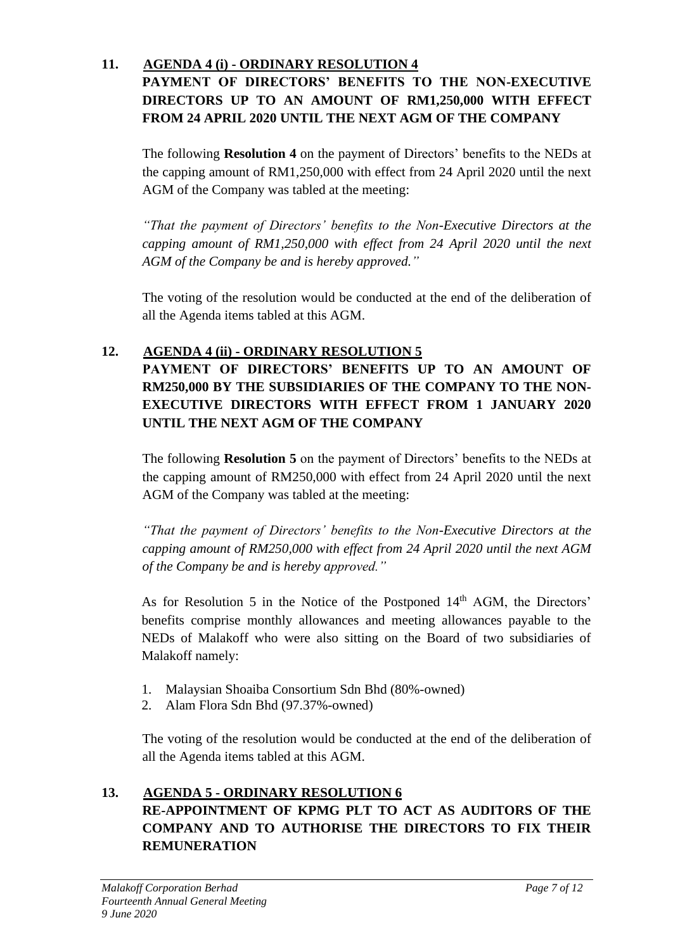## **11. AGENDA 4 (i) - ORDINARY RESOLUTION 4 PAYMENT OF DIRECTORS' BENEFITS TO THE NON-EXECUTIVE DIRECTORS UP TO AN AMOUNT OF RM1,250,000 WITH EFFECT FROM 24 APRIL 2020 UNTIL THE NEXT AGM OF THE COMPANY**

The following **Resolution 4** on the payment of Directors' benefits to the NEDs at the capping amount of RM1,250,000 with effect from 24 April 2020 until the next AGM of the Company was tabled at the meeting:

*"That the payment of Directors' benefits to the Non-Executive Directors at the capping amount of RM1,250,000 with effect from 24 April 2020 until the next AGM of the Company be and is hereby approved."*

The voting of the resolution would be conducted at the end of the deliberation of all the Agenda items tabled at this AGM.

# **12. AGENDA 4 (ii) - ORDINARY RESOLUTION 5**

**PAYMENT OF DIRECTORS' BENEFITS UP TO AN AMOUNT OF RM250,000 BY THE SUBSIDIARIES OF THE COMPANY TO THE NON-EXECUTIVE DIRECTORS WITH EFFECT FROM 1 JANUARY 2020 UNTIL THE NEXT AGM OF THE COMPANY**

The following **Resolution 5** on the payment of Directors' benefits to the NEDs at the capping amount of RM250,000 with effect from 24 April 2020 until the next AGM of the Company was tabled at the meeting:

*"That the payment of Directors' benefits to the Non-Executive Directors at the capping amount of RM250,000 with effect from 24 April 2020 until the next AGM of the Company be and is hereby approved."*

As for Resolution 5 in the Notice of the Postponed 14<sup>th</sup> AGM, the Directors' benefits comprise monthly allowances and meeting allowances payable to the NEDs of Malakoff who were also sitting on the Board of two subsidiaries of Malakoff namely:

- 1. Malaysian Shoaiba Consortium Sdn Bhd (80%-owned)
- 2. Alam Flora Sdn Bhd (97.37%-owned)

The voting of the resolution would be conducted at the end of the deliberation of all the Agenda items tabled at this AGM.

# **13. AGENDA 5 - ORDINARY RESOLUTION 6 RE-APPOINTMENT OF KPMG PLT TO ACT AS AUDITORS OF THE COMPANY AND TO AUTHORISE THE DIRECTORS TO FIX THEIR REMUNERATION**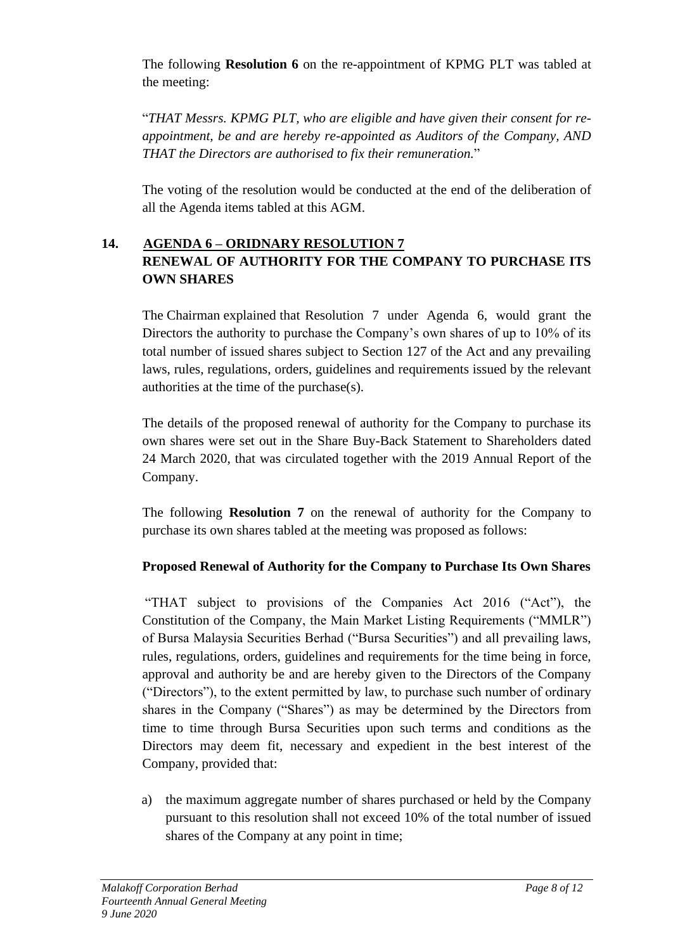The following **Resolution 6** on the re-appointment of KPMG PLT was tabled at the meeting:

"*THAT Messrs. KPMG PLT, who are eligible and have given their consent for reappointment, be and are hereby re-appointed as Auditors of the Company, AND THAT the Directors are authorised to fix their remuneration.*"

The voting of the resolution would be conducted at the end of the deliberation of all the Agenda items tabled at this AGM.

## **14. AGENDA 6 – ORIDNARY RESOLUTION 7 RENEWAL OF AUTHORITY FOR THE COMPANY TO PURCHASE ITS OWN SHARES**

The Chairman explained that Resolution 7 under Agenda 6, would grant the Directors the authority to purchase the Company's own shares of up to 10% of its total number of issued shares subject to Section 127 of the Act and any prevailing laws, rules, regulations, orders, guidelines and requirements issued by the relevant authorities at the time of the purchase(s).

The details of the proposed renewal of authority for the Company to purchase its own shares were set out in the Share Buy-Back Statement to Shareholders dated 24 March 2020, that was circulated together with the 2019 Annual Report of the Company.

The following **Resolution 7** on the renewal of authority for the Company to purchase its own shares tabled at the meeting was proposed as follows:

## **Proposed Renewal of Authority for the Company to Purchase Its Own Shares**

"THAT subject to provisions of the Companies Act 2016 ("Act"), the Constitution of the Company, the Main Market Listing Requirements ("MMLR") of Bursa Malaysia Securities Berhad ("Bursa Securities") and all prevailing laws, rules, regulations, orders, guidelines and requirements for the time being in force, approval and authority be and are hereby given to the Directors of the Company ("Directors"), to the extent permitted by law, to purchase such number of ordinary shares in the Company ("Shares") as may be determined by the Directors from time to time through Bursa Securities upon such terms and conditions as the Directors may deem fit, necessary and expedient in the best interest of the Company, provided that:

a) the maximum aggregate number of shares purchased or held by the Company pursuant to this resolution shall not exceed 10% of the total number of issued shares of the Company at any point in time;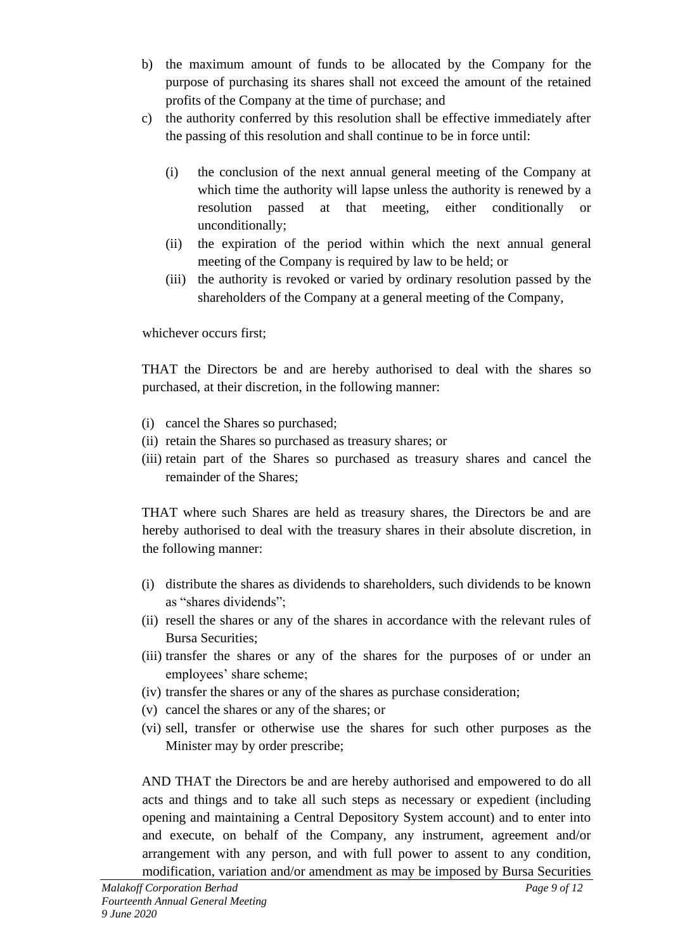- b) the maximum amount of funds to be allocated by the Company for the purpose of purchasing its shares shall not exceed the amount of the retained profits of the Company at the time of purchase; and
- c) the authority conferred by this resolution shall be effective immediately after the passing of this resolution and shall continue to be in force until:
	- (i) the conclusion of the next annual general meeting of the Company at which time the authority will lapse unless the authority is renewed by a resolution passed at that meeting, either conditionally or unconditionally;
	- (ii) the expiration of the period within which the next annual general meeting of the Company is required by law to be held; or
	- (iii) the authority is revoked or varied by ordinary resolution passed by the shareholders of the Company at a general meeting of the Company,

whichever occurs first;

THAT the Directors be and are hereby authorised to deal with the shares so purchased, at their discretion, in the following manner:

- (i) cancel the Shares so purchased;
- (ii) retain the Shares so purchased as treasury shares; or
- (iii) retain part of the Shares so purchased as treasury shares and cancel the remainder of the Shares;

THAT where such Shares are held as treasury shares, the Directors be and are hereby authorised to deal with the treasury shares in their absolute discretion, in the following manner:

- (i) distribute the shares as dividends to shareholders, such dividends to be known as "shares dividends";
- (ii) resell the shares or any of the shares in accordance with the relevant rules of Bursa Securities;
- (iii) transfer the shares or any of the shares for the purposes of or under an employees' share scheme;
- (iv) transfer the shares or any of the shares as purchase consideration;
- (v) cancel the shares or any of the shares; or
- (vi) sell, transfer or otherwise use the shares for such other purposes as the Minister may by order prescribe;

AND THAT the Directors be and are hereby authorised and empowered to do all acts and things and to take all such steps as necessary or expedient (including opening and maintaining a Central Depository System account) and to enter into and execute, on behalf of the Company, any instrument, agreement and/or arrangement with any person, and with full power to assent to any condition, modification, variation and/or amendment as may be imposed by Bursa Securities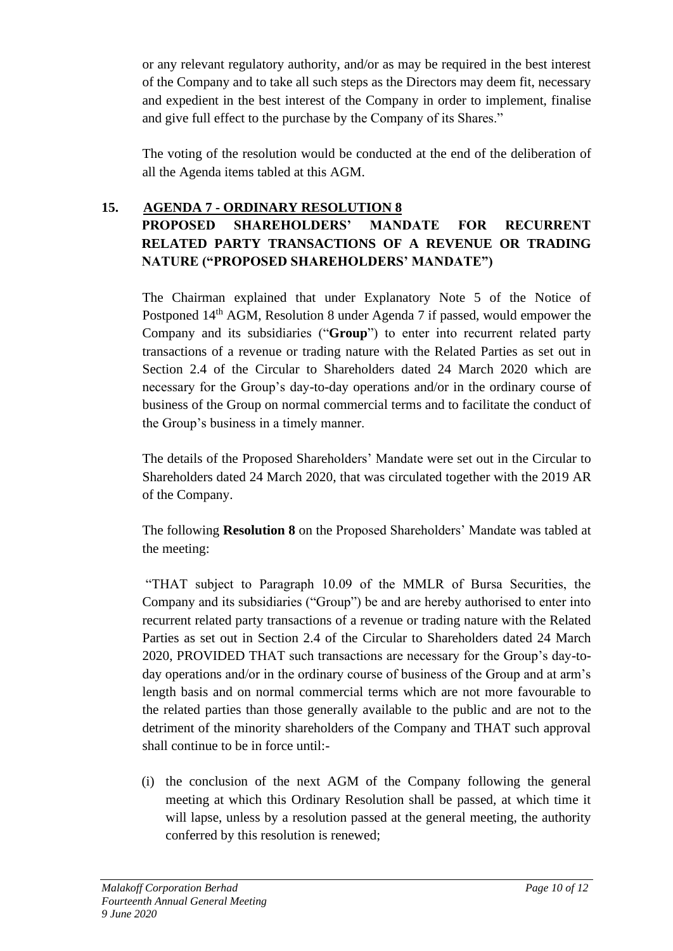or any relevant regulatory authority, and/or as may be required in the best interest of the Company and to take all such steps as the Directors may deem fit, necessary and expedient in the best interest of the Company in order to implement, finalise and give full effect to the purchase by the Company of its Shares."

The voting of the resolution would be conducted at the end of the deliberation of all the Agenda items tabled at this AGM.

### **15. AGENDA 7 - ORDINARY RESOLUTION 8 PROPOSED SHAREHOLDERS' MANDATE FOR RECURRENT RELATED PARTY TRANSACTIONS OF A REVENUE OR TRADING NATURE ("PROPOSED SHAREHOLDERS' MANDATE")**

The Chairman explained that under Explanatory Note 5 of the Notice of Postponed 14th AGM, Resolution 8 under Agenda 7 if passed, would empower the Company and its subsidiaries ("**Group**") to enter into recurrent related party transactions of a revenue or trading nature with the Related Parties as set out in Section 2.4 of the Circular to Shareholders dated 24 March 2020 which are necessary for the Group's day-to-day operations and/or in the ordinary course of business of the Group on normal commercial terms and to facilitate the conduct of the Group's business in a timely manner.

The details of the Proposed Shareholders' Mandate were set out in the Circular to Shareholders dated 24 March 2020, that was circulated together with the 2019 AR of the Company.

The following **Resolution 8** on the Proposed Shareholders' Mandate was tabled at the meeting:

"THAT subject to Paragraph 10.09 of the MMLR of Bursa Securities, the Company and its subsidiaries ("Group") be and are hereby authorised to enter into recurrent related party transactions of a revenue or trading nature with the Related Parties as set out in Section 2.4 of the Circular to Shareholders dated 24 March 2020, PROVIDED THAT such transactions are necessary for the Group's day-today operations and/or in the ordinary course of business of the Group and at arm's length basis and on normal commercial terms which are not more favourable to the related parties than those generally available to the public and are not to the detriment of the minority shareholders of the Company and THAT such approval shall continue to be in force until:-

(i) the conclusion of the next AGM of the Company following the general meeting at which this Ordinary Resolution shall be passed, at which time it will lapse, unless by a resolution passed at the general meeting, the authority conferred by this resolution is renewed;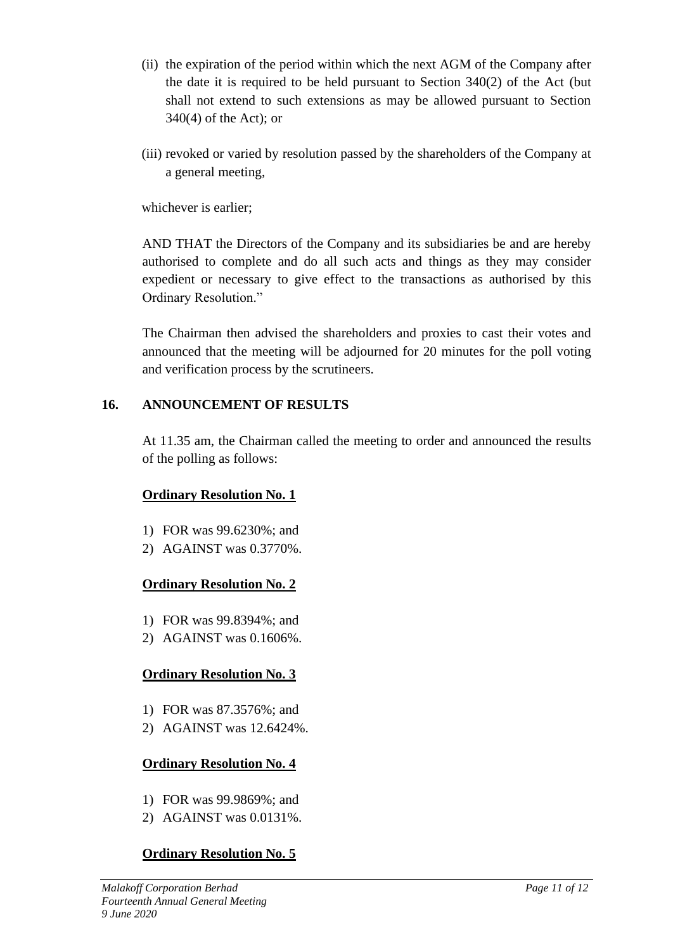- (ii) the expiration of the period within which the next AGM of the Company after the date it is required to be held pursuant to Section 340(2) of the Act (but shall not extend to such extensions as may be allowed pursuant to Section 340(4) of the Act); or
- (iii) revoked or varied by resolution passed by the shareholders of the Company at a general meeting,

whichever is earlier;

AND THAT the Directors of the Company and its subsidiaries be and are hereby authorised to complete and do all such acts and things as they may consider expedient or necessary to give effect to the transactions as authorised by this Ordinary Resolution."

The Chairman then advised the shareholders and proxies to cast their votes and announced that the meeting will be adjourned for 20 minutes for the poll voting and verification process by the scrutineers.

#### **16. ANNOUNCEMENT OF RESULTS**

At 11.35 am, the Chairman called the meeting to order and announced the results of the polling as follows:

### **Ordinary Resolution No. 1**

- 1) FOR was 99.6230%; and
- 2) AGAINST was 0.3770%.

### **Ordinary Resolution No. 2**

- 1) FOR was 99.8394%; and
- 2) AGAINST was 0.1606%.

### **Ordinary Resolution No. 3**

- 1) FOR was 87.3576%; and
- 2) AGAINST was 12.6424%.

### **Ordinary Resolution No. 4**

- 1) FOR was 99.9869%; and
- 2) AGAINST was 0.0131%.

## **Ordinary Resolution No. 5**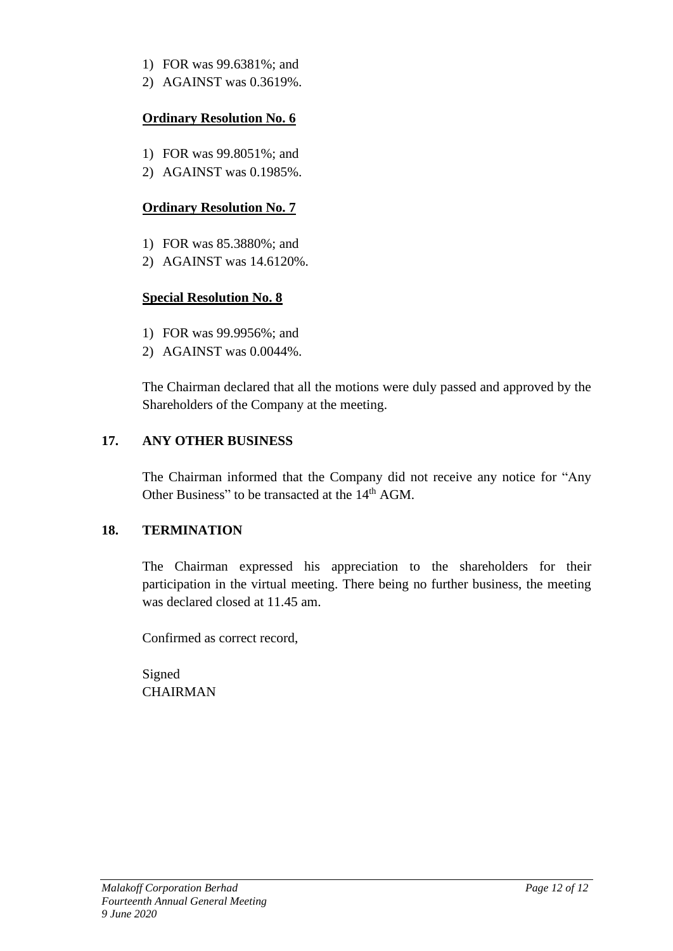- 1) FOR was 99.6381%; and
- 2) AGAINST was 0.3619%.

### **Ordinary Resolution No. 6**

- 1) FOR was 99.8051%; and
- 2) AGAINST was 0.1985%.

## **Ordinary Resolution No. 7**

- 1) FOR was 85.3880%; and
- 2) AGAINST was 14.6120%.

## **Special Resolution No. 8**

- 1) FOR was 99.9956%; and
- 2) AGAINST was 0.0044%.

The Chairman declared that all the motions were duly passed and approved by the Shareholders of the Company at the meeting.

## **17. ANY OTHER BUSINESS**

The Chairman informed that the Company did not receive any notice for "Any Other Business" to be transacted at the 14<sup>th</sup> AGM.

## **18. TERMINATION**

The Chairman expressed his appreciation to the shareholders for their participation in the virtual meeting. There being no further business, the meeting was declared closed at 11.45 am.

Confirmed as correct record,

Signed **CHAIRMAN**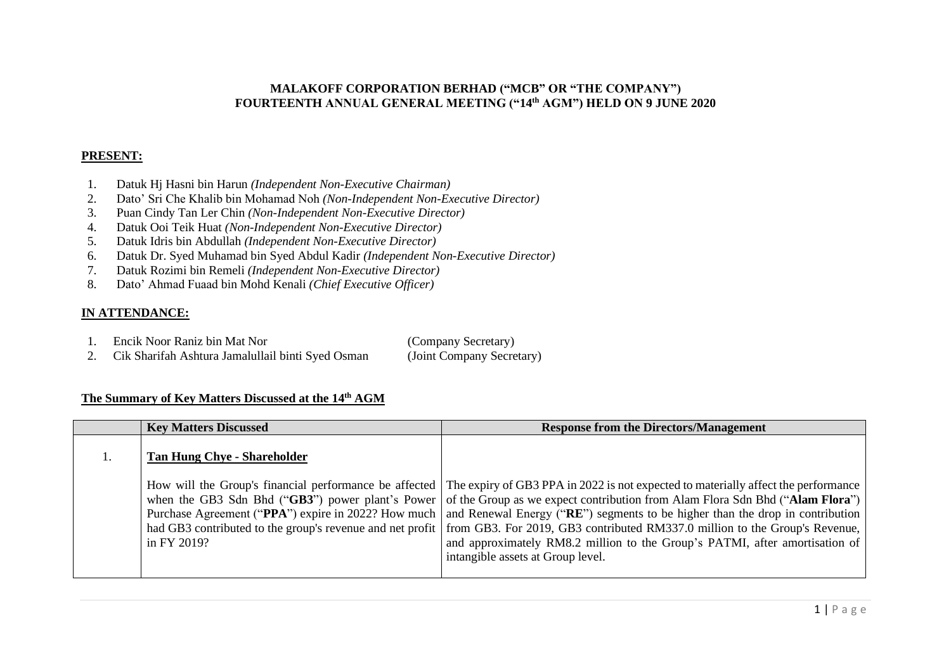#### **MALAKOFF CORPORATION BERHAD ("MCB" OR "THE COMPANY") FOURTEENTH ANNUAL GENERAL MEETING ("14 th AGM") HELD ON 9 JUNE 2020**

#### **PRESENT:**

- 1. Datuk Hj Hasni bin Harun *(Independent Non-Executive Chairman)*
- 2. Dato' Sri Che Khalib bin Mohamad Noh *(Non-Independent Non-Executive Director)*
- 3. Puan Cindy Tan Ler Chin *(Non-Independent Non-Executive Director)*
- 4. Datuk Ooi Teik Huat *(Non-Independent Non-Executive Director)*
- 5. Datuk Idris bin Abdullah *(Independent Non-Executive Director)*
- 6. Datuk Dr. Syed Muhamad bin Syed Abdul Kadir *(Independent Non-Executive Director)*
- 7. Datuk Rozimi bin Remeli *(Independent Non-Executive Director)*
- 8. Dato' Ahmad Fuaad bin Mohd Kenali *(Chief Executive Officer)*

#### **IN ATTENDANCE:**

- 1. Encik Noor Raniz bin Mat Nor (Company Secretary)
- 2. Cik Sharifah Ashtura Jamalullail binti Syed Osman (Joint Company Secretary)

#### **The Summary of Key Matters Discussed at the 14 th AGM**

| <b>Key Matters Discussed</b>       | <b>Response from the Directors/Management</b>                                                                                                                                                                                                                                                                                                                                                                                                                                                                                                                                                                                                                                     |
|------------------------------------|-----------------------------------------------------------------------------------------------------------------------------------------------------------------------------------------------------------------------------------------------------------------------------------------------------------------------------------------------------------------------------------------------------------------------------------------------------------------------------------------------------------------------------------------------------------------------------------------------------------------------------------------------------------------------------------|
| <b>Tan Hung Chye - Shareholder</b> |                                                                                                                                                                                                                                                                                                                                                                                                                                                                                                                                                                                                                                                                                   |
| in FY 2019?                        | How will the Group's financial performance be affected The expiry of GB3 PPA in 2022 is not expected to materially affect the performance<br>when the GB3 Sdn Bhd ("GB3") power plant's Power of the Group as we expect contribution from Alam Flora Sdn Bhd ("Alam Flora")<br>Purchase Agreement ("PPA") expire in 2022? How much   and Renewal Energy ("RE") segments to be higher than the drop in contribution<br>had GB3 contributed to the group's revenue and net profit   from GB3. For 2019, GB3 contributed RM337.0 million to the Group's Revenue,<br>and approximately RM8.2 million to the Group's PATMI, after amortisation of<br>intangible assets at Group level. |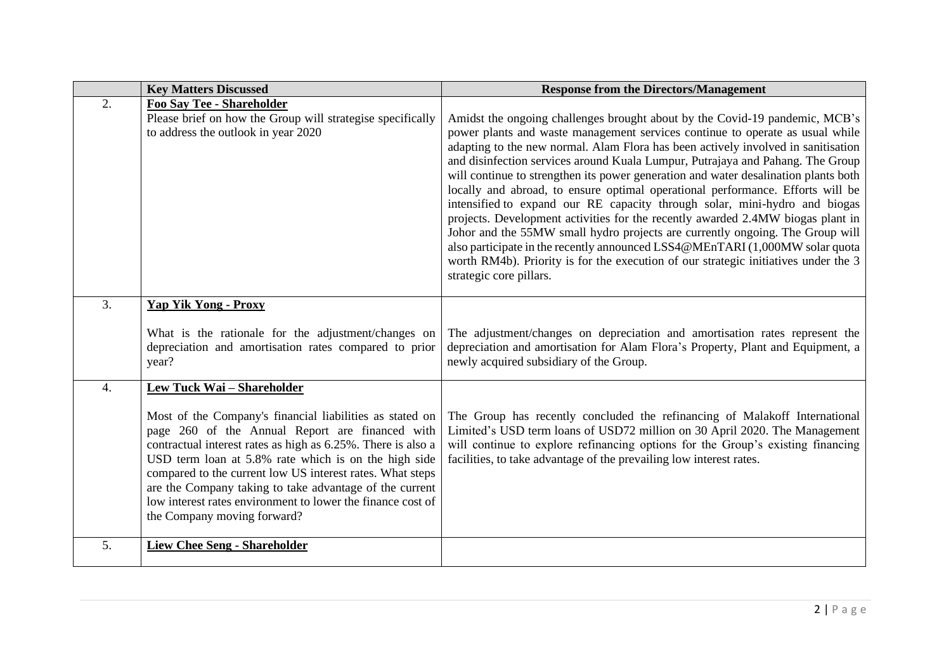|                  | <b>Key Matters Discussed</b>                                                                                                                                                                                                                                                                                                                                                                                                                                                            | <b>Response from the Directors/Management</b>                                                                                                                                                                                                                                                                                                                                                                                                                                                                                                                                                                                                                                                                                                                                                                                                                                                                                                                    |
|------------------|-----------------------------------------------------------------------------------------------------------------------------------------------------------------------------------------------------------------------------------------------------------------------------------------------------------------------------------------------------------------------------------------------------------------------------------------------------------------------------------------|------------------------------------------------------------------------------------------------------------------------------------------------------------------------------------------------------------------------------------------------------------------------------------------------------------------------------------------------------------------------------------------------------------------------------------------------------------------------------------------------------------------------------------------------------------------------------------------------------------------------------------------------------------------------------------------------------------------------------------------------------------------------------------------------------------------------------------------------------------------------------------------------------------------------------------------------------------------|
| 2.               | Foo Say Tee - Shareholder<br>Please brief on how the Group will strategise specifically<br>to address the outlook in year 2020                                                                                                                                                                                                                                                                                                                                                          | Amidst the ongoing challenges brought about by the Covid-19 pandemic, MCB's<br>power plants and waste management services continue to operate as usual while<br>adapting to the new normal. Alam Flora has been actively involved in sanitisation<br>and disinfection services around Kuala Lumpur, Putrajaya and Pahang. The Group<br>will continue to strengthen its power generation and water desalination plants both<br>locally and abroad, to ensure optimal operational performance. Efforts will be<br>intensified to expand our RE capacity through solar, mini-hydro and biogas<br>projects. Development activities for the recently awarded 2.4MW biogas plant in<br>Johor and the 55MW small hydro projects are currently ongoing. The Group will<br>also participate in the recently announced LSS4@MEnTARI (1,000MW solar quota<br>worth RM4b). Priority is for the execution of our strategic initiatives under the 3<br>strategic core pillars. |
| 3.               | <b>Yap Yik Yong - Proxy</b><br>What is the rationale for the adjustment/changes on<br>depreciation and amortisation rates compared to prior<br>year?                                                                                                                                                                                                                                                                                                                                    | The adjustment/changes on depreciation and amortisation rates represent the<br>depreciation and amortisation for Alam Flora's Property, Plant and Equipment, a<br>newly acquired subsidiary of the Group.                                                                                                                                                                                                                                                                                                                                                                                                                                                                                                                                                                                                                                                                                                                                                        |
| $\overline{4}$ . | Lew Tuck Wai - Shareholder<br>Most of the Company's financial liabilities as stated on<br>page 260 of the Annual Report are financed with<br>contractual interest rates as high as 6.25%. There is also a<br>USD term loan at 5.8% rate which is on the high side<br>compared to the current low US interest rates. What steps<br>are the Company taking to take advantage of the current<br>low interest rates environment to lower the finance cost of<br>the Company moving forward? | The Group has recently concluded the refinancing of Malakoff International<br>Limited's USD term loans of USD72 million on 30 April 2020. The Management<br>will continue to explore refinancing options for the Group's existing financing<br>facilities, to take advantage of the prevailing low interest rates.                                                                                                                                                                                                                                                                                                                                                                                                                                                                                                                                                                                                                                               |
| 5.               | <b>Liew Chee Seng - Shareholder</b>                                                                                                                                                                                                                                                                                                                                                                                                                                                     |                                                                                                                                                                                                                                                                                                                                                                                                                                                                                                                                                                                                                                                                                                                                                                                                                                                                                                                                                                  |